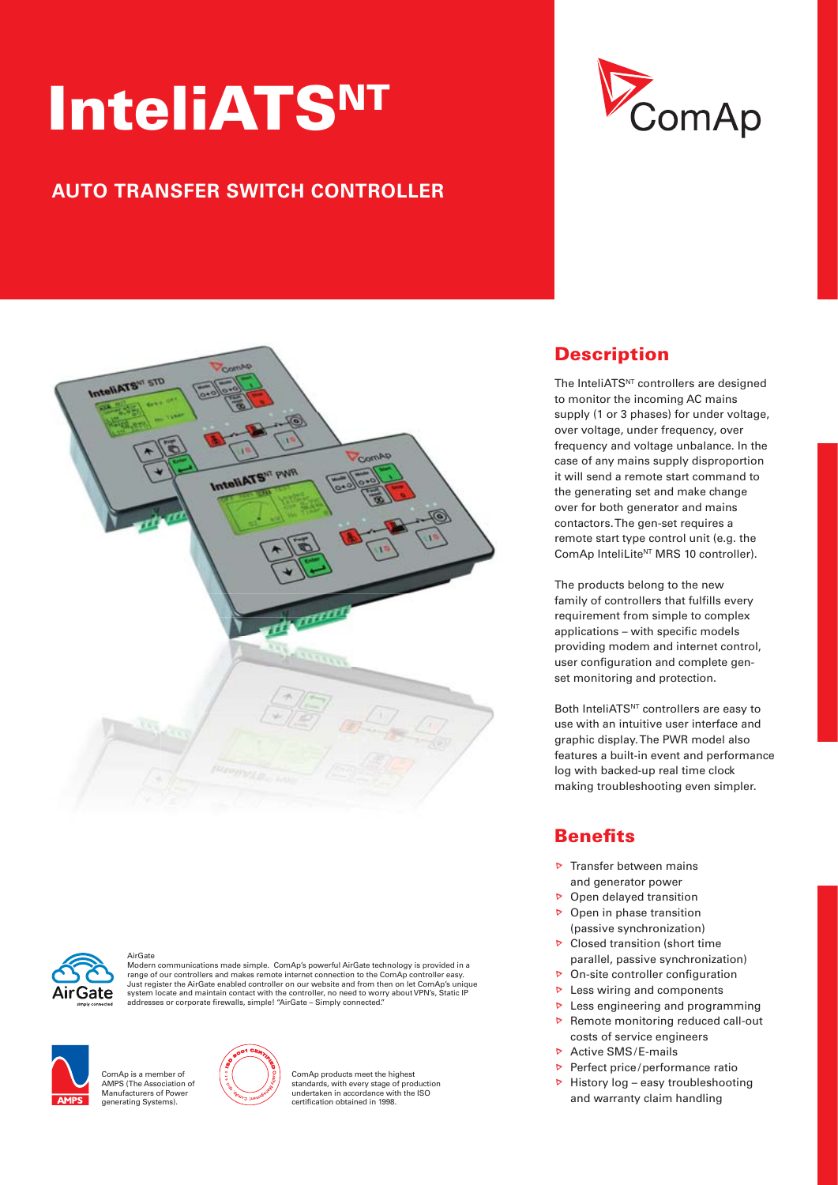# **InteliATSNT**

## **AUTO TRANSFER SWITCH CONTROLLER**







AirGate Modern communications made simple. ComAp's powerful AirGate technology is provided in a<br>range of our controllers and makes remote internet connection to the ComAp controller easy.<br>Just register the AirGate enabled control system locate and maintain contact with the controller, no need to worry about VPN's, Static IP addresses or corporate firewalls, simple! "AirGate – Simply connected."



.<br>ComAp is a member of AMPS (The Association of Manufacturers of Power generating Systems).



ComAp products meet the highest standards, with every stage of production undertaken in accordance with the ISO<br>certification obtained in 1998.

## **Description**

The InteliATS<sup>NT</sup> controllers are designed to monitor the incoming AC mains supply (1 or 3 phases) for under voltage, over voltage, under frequency, over frequency and voltage unbalance. In the case of any mains supply disproportion it will send a remote start command to the generating set and make change over for both generator and mains contactors. The gen-set requires a remote start type control unit (e.g. the ComAp InteliLite<sup>NT</sup> MRS 10 controller).

The products belong to the new family of controllers that fulfills every requirement from simple to complex applications - with specific models providing modem and internet control, user configuration and complete genset monitoring and protection.

Both InteliATS<sup>NT</sup> controllers are easy to use with an intuitive user interface and graphic display. The PWR model also features a built-in event and performance log with backed-up real time clock making troubleshooting even simpler.

## **Benefits**

- $\triangleright$  Transfer between mains and generator power
- $\triangleright$  Open delayed transition
- $\triangleright$  Open in phase transition (passive synchronization)
- $\triangleright$  Closed transition (short time parallel, passive synchronization)
- $\triangleright$  On-site controller configuration
- $\triangleright$  Less wiring and components
- $\triangleright$  Less engineering and programming
- $\triangleright$  Remote monitoring reduced call-out costs of service engineers
- $\triangleright$  Active SMS/E-mails
- Perfect price/performance ratio
- $\triangleright$  History log easy troubleshooting and warranty claim handling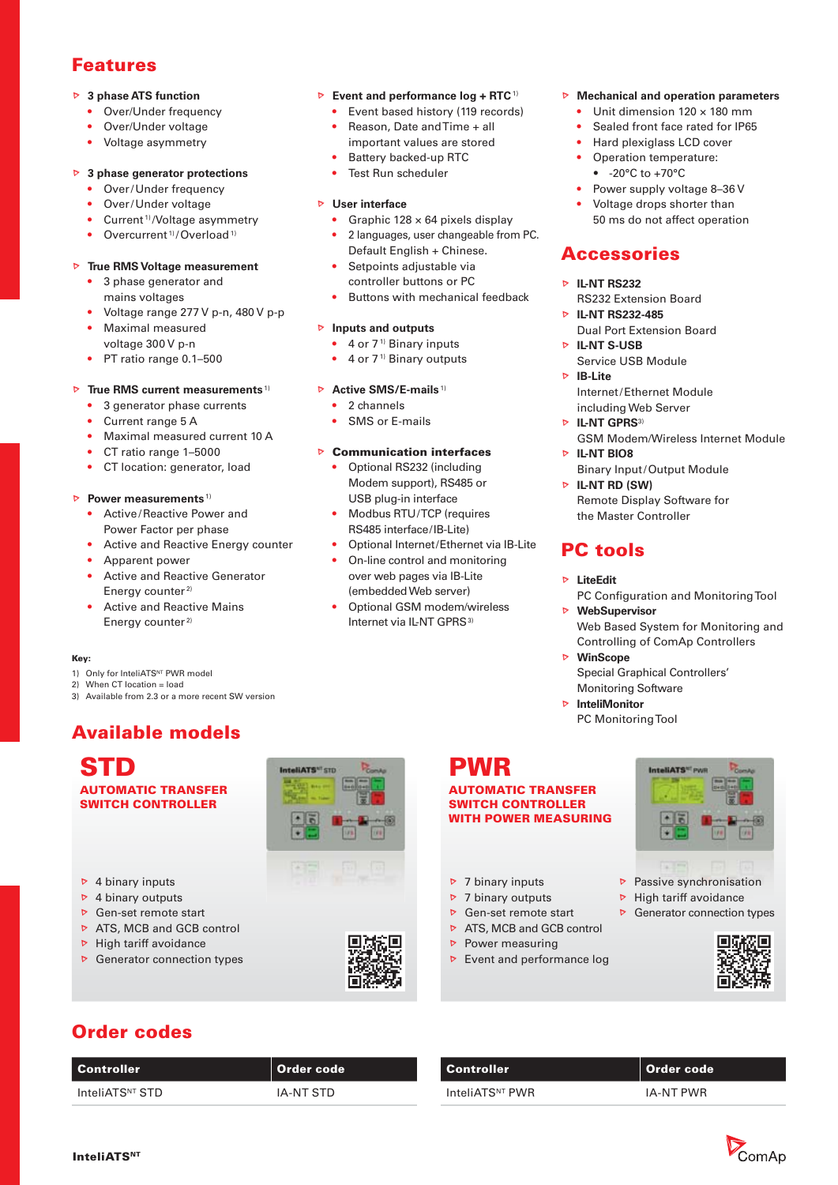#### **Features**

#### **3 phase ATS function**

- Over/Under frequency
- Over/Under voltage
- Voltage asymmetry

#### **3 phase generator protections**

- Over/Under frequency
- Over/Under voltage
- Current<sup>1)</sup>/Voltage asymmetry
- Overcurrent<sup>1)</sup>/Overload<sup>1)</sup>

#### **True RMS Voltage measurement**

- 3 phase generator and mains voltages
- Voltage range 277 V p-n, 480 V p-p
- Maximal measured voltage 300 V p-n
- PT ratio range 0.1-500

#### **True RMS current measurements** 1)

- 3 generator phase currents
- Current range 5 A
- Maximal measured current 10 A
- CT ratio range 1–5000
- CT location: generator, load

#### **Power measurements**<sup>1)</sup>

- Active / Reactive Power and Power Factor per phase
- Active and Reactive Energy counter
- Apparent power
- Active and Reactive Generator Energy counter<sup>2)</sup>
- Active and Reactive Mains Energy counter<sup>2)</sup>

#### **Key:**

- 1) Only for InteliATS<sup>NT</sup> PWR model
- 2) When CT location = load
- 3) Available from 2.3 or a more recent SW version

## **Available models**

**STD AUTOMATIC TRANSFER SWITCH CONTROLLER**

- $\triangleright$  4 binary inputs
- $\triangleright$  4 binary outputs
- **▶** Gen-set remote start
- ATS, MCB and GCB control
- $\triangleright$  High tariff avoidance
- $\triangleright$  Generator connection types





**Event and performance log + RTC<sup>1)</sup>** • Event based history (119 records) • Reason, Date and Time + all important values are stored • Battery backed-up RTC • Test Run scheduler

• Graphic  $128 \times 64$  pixels display • 2 languages, user changeable from PC.

Default English + Chinese. Setpoints adjustable via controller buttons or PC

• Buttons with mechanical feedback

Optional Internet/Ethernet via IB-Lite • On-line control and monitoring over web pages via IB-Lite (embedded Web server) • Optional GSM modem/wireless Internet via IL-NT GPRS<sup>3)</sup>

**User interface**

 **Inputs and outputs**  $\bullet$  4 or  $7<sup>1</sup>$  Binary inputs  $\bullet$  4 or 7<sup>1)</sup> Binary outputs

**Active SMS/E-mails**<sup>1)</sup> • 2 channels SMS or E-mails

 **Communication interfaces** • Optional RS232 (including Modem support), RS485 or USB plug-in interface Modbus RTU/TCP (requires RS485 interface / IB-Lite)



- 
- 
- 
- 
- 
- 



- Unit dimension 120 × 180 mm
- Sealed front face rated for IP65
- Hard plexiglass LCD cover • Operation temperature:
	- -20°C to +70°C
- Power supply voltage 8–36 V
- Voltage drops shorter than 50 ms do not affect operation

#### **Accessories**

#### **IL-NT RS232**

- RS232 Extension Board **IL-NT RS232-485**
- Dual Port Extension Board **IL-NT S-USB**
- Service USB Module
- **IB-Lite** Internet / Ethernet Module including Web Server
- **D** IL-NT GPRS<sup>3)</sup> GSM Modem/Wireless Internet Module
- **E** IL-NT BIO8 **Binary Input/Output Module**
- **IL-NT RD (SW)** Remote Display Software for the Master Controller

## **PC tools**

- **LiteEdit**
- PC Configuration and Monitoring Tool **WebSupervisor**
	- Web Based System for Monitoring and Controlling of ComAp Controllers
- **WinScope**
	- Special Graphical Controllers' Monitoring Software
- **InteliMonitor** PC Monitoring Tool

**WITH POWER MEASURING**

- $\triangleright$  7 binary inputs
- $\triangleright$  7 binary outputs
- **▶** Gen-set remote start
- **ATS, MCB and GCB control**
- $\triangleright$  Power measuring
- $\triangleright$  Event and performance log



- $\triangleright$  Passive synchronisation
- $\triangleright$  High tariff avoidance
- $\triangleright$  Generator connection types



#### **Order codes**

| <b>Controller</b>           | Order code |
|-----------------------------|------------|
| InteliATS <sup>NT</sup> STD | IA-NT STD  |

| Controller                  | ll Order code |
|-----------------------------|---------------|
| InteliATS <sup>NT</sup> PWR | IA-NT PWR     |



## **PWR**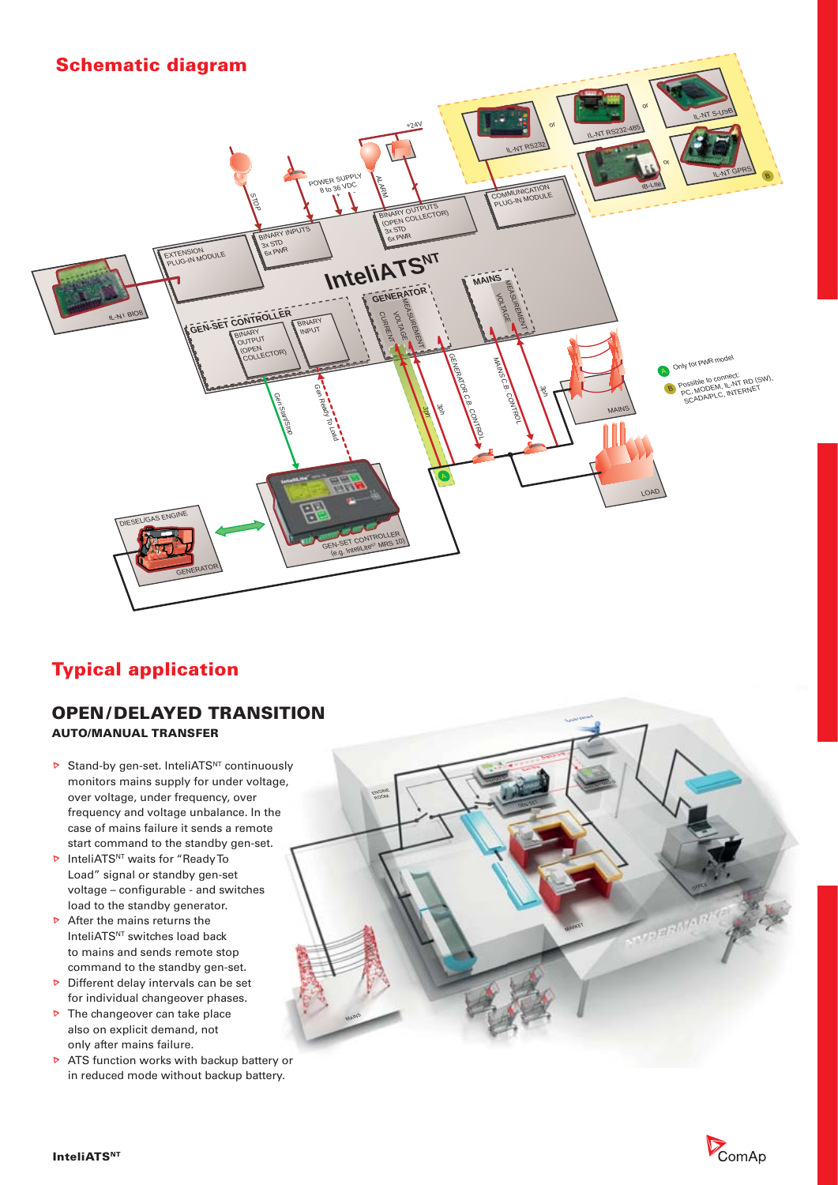

## **Typical application**

#### **OPEN / DELAYED TRANSITION AUTO/MANUAL TRANSFER**

- $\triangleright$  Stand-by gen-set. InteliATS<sup>NT</sup> continuously monitors mains supply for under voltage, over voltage, under frequency, over frequency and voltage unbalance. In the case of mains failure it sends a remote start command to the standby gen-set.
- **D** InteliATS<sup>NT</sup> waits for "Ready To Load" signal or standby gen-set voltage – configurable - and switches load to the standby generator.
- $\triangleright$  After the mains returns the InteliATS<sup>NT</sup> switches load back to mains and sends remote stop command to the standby gen-set.
- $\triangleright$  Different delay intervals can be set for individual changeover phases.
- $\triangleright$  The changeover can take place also on explicit demand, not only after mains failure.
- $\triangleright$  ATS function works with backup battery or in reduced mode without backup battery.